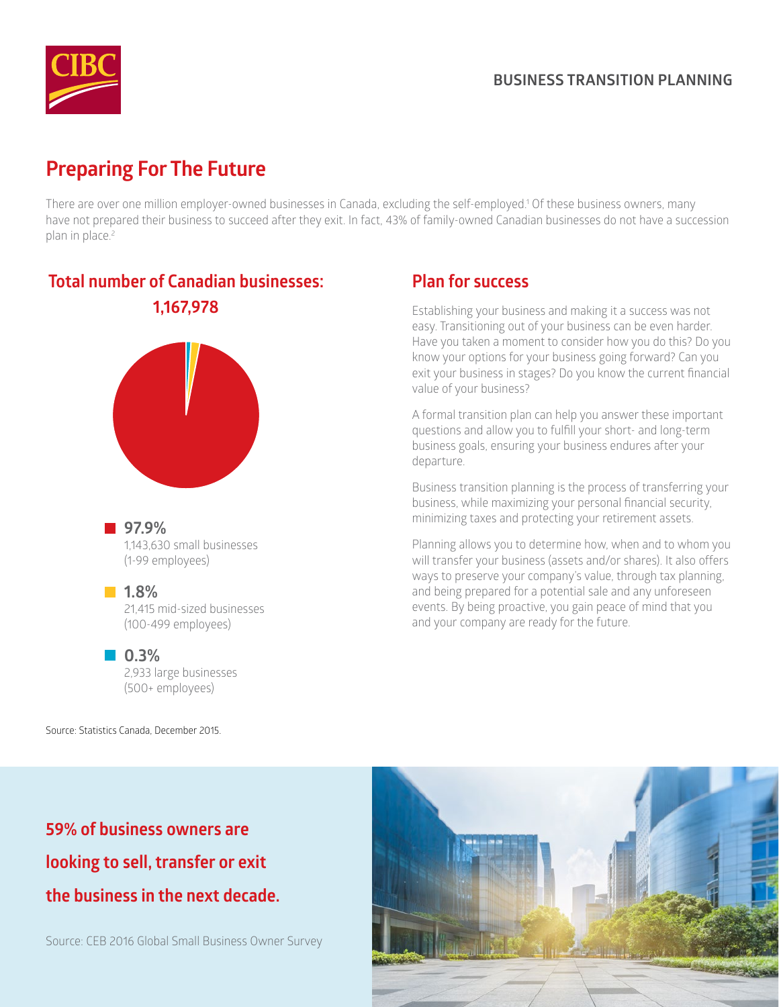

# **Preparing For The Future**

There are over one million employer-owned businesses in Canada, excluding the self-employed.1 Of these business owners, many have not prepared their business to succeed after they exit. In fact, 43% of family-owned Canadian businesses do not have a succession plan in place.<sup>2</sup>

## **Total number of Canadian businesses: 1,167,978**



**97.9%**  1,143,630 small businesses (1-99 employees)

#### **1.8%**

21,415 mid-sized businesses (100-499 employees)

#### **0.3%**

2,933 large businesses (500+ employees)

Source: Statistics Canada, December 2015.

# **59% of business owners are looking to sell, transfer or exit the business in the next decade.**

Source: CEB 2016 Global Small Business Owner Survey

## **Plan for success**

Establishing your business and making it a success was not easy. Transitioning out of your business can be even harder. Have you taken a moment to consider how you do this? Do you know your options for your business going forward? Can you exit your business in stages? Do you know the current financial value of your business?

A formal transition plan can help you answer these important questions and allow you to fulfill your short- and long-term business goals, ensuring your business endures after your departure.

Business transition planning is the process of transferring your business, while maximizing your personal financial security, minimizing taxes and protecting your retirement assets.

Planning allows you to determine how, when and to whom you will transfer your business (assets and/or shares). It also offers ways to preserve your company's value, through tax planning, and being prepared for a potential sale and any unforeseen events. By being proactive, you gain peace of mind that you and your company are ready for the future.

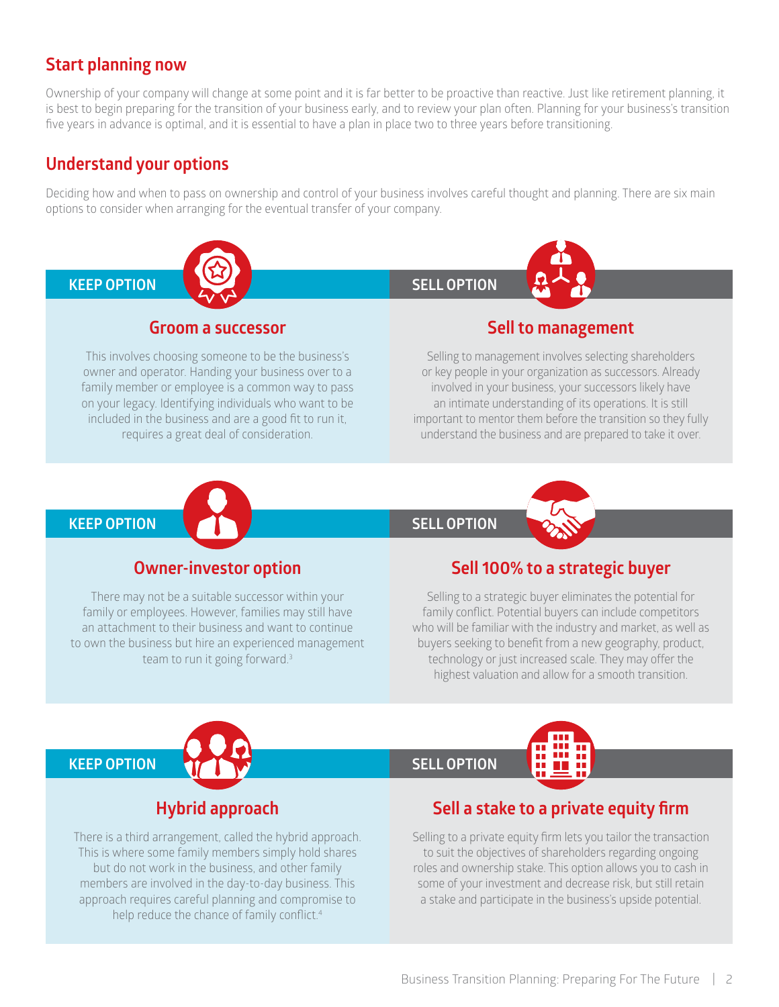## **Start planning now**

Ownership of your company will change at some point and it is far better to be proactive than reactive. Just like retirement planning, it is best to begin preparing for the transition of your business early, and to review your plan often. Planning for your business's transition five years in advance is optimal, and it is essential to have a plan in place two to three years before transitioning.

### **Understand your options**

Deciding how and when to pass on ownership and control of your business involves careful thought and planning. There are six main options to consider when arranging for the eventual transfer of your company.



#### **Groom a successor**

This involves choosing someone to be the business's owner and operator. Handing your business over to a family member or employee is a common way to pass on your legacy. Identifying individuals who want to be included in the business and are a good fit to run it, requires a great deal of consideration.



#### **Sell to management**

Selling to management involves selecting shareholders or key people in your organization as successors. Already involved in your business, your successors likely have an intimate understanding of its operations. It is still important to mentor them before the transition so they fully understand the business and are prepared to take it over.



## **SELL OPTION**



### **Owner-investor option**

There may not be a suitable successor within your family or employees. However, families may still have an attachment to their business and want to continue to own the business but hire an experienced management team to run it going forward.3

### **Sell 100% to a strategic buyer**

Selling to a strategic buyer eliminates the potential for family conflict. Potential buyers can include competitors who will be familiar with the industry and market, as well as buyers seeking to benefit from a new geography, product, technology or just increased scale. They may offer the highest valuation and allow for a smooth transition.



#### **SELL OPTION**



## **Hybrid approach**

There is a third arrangement, called the hybrid approach. This is where some family members simply hold shares but do not work in the business, and other family members are involved in the day-to-day business. This approach requires careful planning and compromise to help reduce the chance of family conflict.<sup>4</sup>

### **Sell a stake to a private equity firm**

Selling to a private equity firm lets you tailor the transaction to suit the objectives of shareholders regarding ongoing roles and ownership stake. This option allows you to cash in some of your investment and decrease risk, but still retain a stake and participate in the business's upside potential.